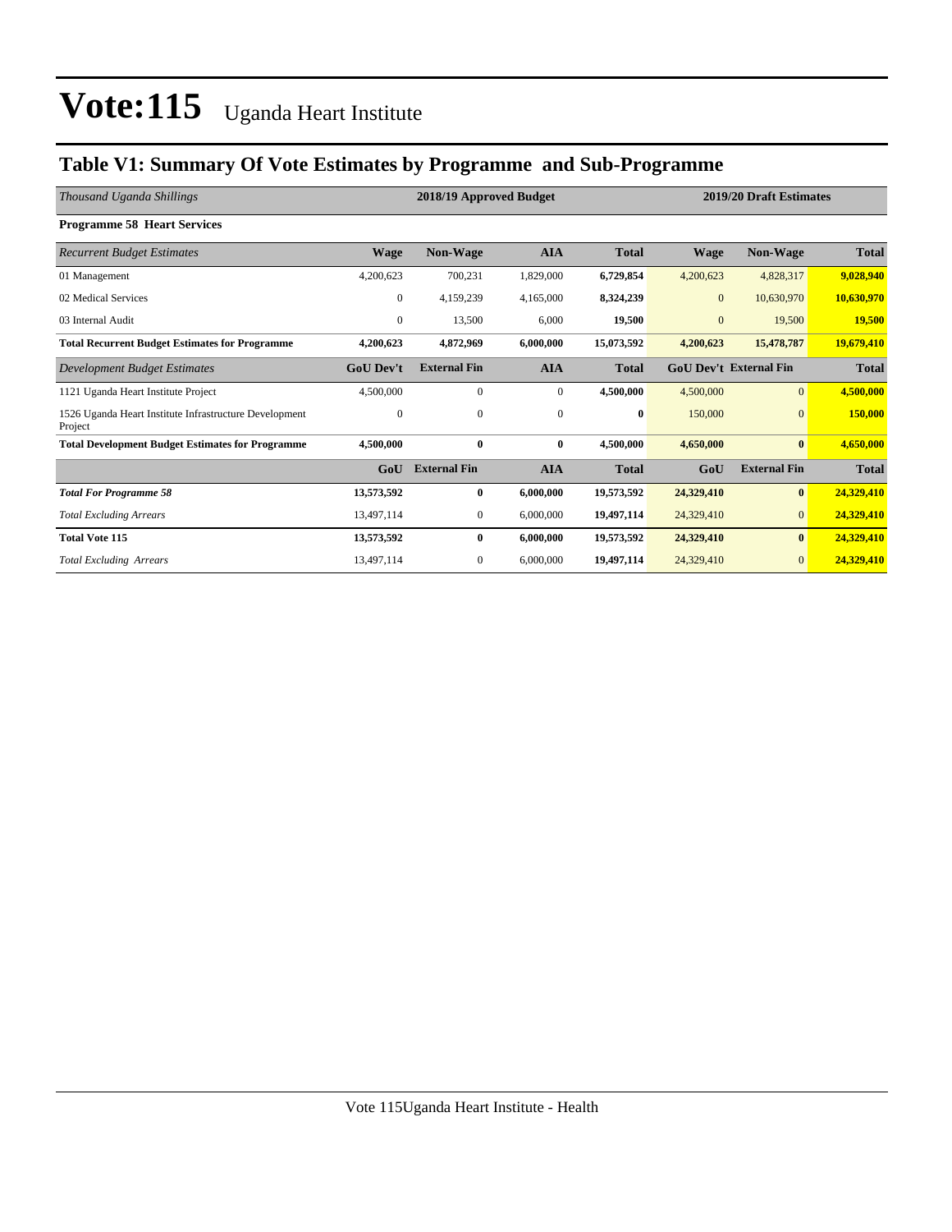### **Table V1: Summary Of Vote Estimates by Programme and Sub-Programme**

| Thousand Uganda Shillings                                         |                  | 2018/19 Approved Budget |              | 2019/20 Draft Estimates |              |                               |              |
|-------------------------------------------------------------------|------------------|-------------------------|--------------|-------------------------|--------------|-------------------------------|--------------|
| <b>Programme 58 Heart Services</b>                                |                  |                         |              |                         |              |                               |              |
| <b>Recurrent Budget Estimates</b>                                 | <b>Wage</b>      | Non-Wage                | <b>AIA</b>   | <b>Total</b>            | <b>Wage</b>  | Non-Wage                      | <b>Total</b> |
| 01 Management                                                     | 4,200,623        | 700,231                 | 1,829,000    | 6,729,854               | 4,200,623    | 4,828,317                     | 9,028,940    |
| 02 Medical Services                                               | $\mathbf{0}$     | 4,159,239               | 4,165,000    | 8,324,239               | $\mathbf{0}$ | 10,630,970                    | 10,630,970   |
| 03 Internal Audit                                                 | $\mathbf{0}$     | 13,500                  | 6,000        | 19,500                  | $\mathbf{0}$ | 19,500                        | 19,500       |
| <b>Total Recurrent Budget Estimates for Programme</b>             | 4,200,623        | 4,872,969               | 6,000,000    | 15,073,592              | 4,200,623    | 15,478,787                    | 19,679,410   |
| Development Budget Estimates                                      | <b>GoU</b> Dev't | <b>External Fin</b>     | <b>AIA</b>   | <b>Total</b>            |              | <b>GoU Dev't External Fin</b> | <b>Total</b> |
| 1121 Uganda Heart Institute Project                               | 4,500,000        | $\Omega$                | $\mathbf{0}$ | 4,500,000               | 4,500,000    | $\overline{0}$                | 4,500,000    |
| 1526 Uganda Heart Institute Infrastructure Development<br>Project | $\mathbf{0}$     | $\mathbf{0}$            | $\mathbf{0}$ | 0                       | 150,000      | $\overline{0}$                | 150,000      |
| <b>Total Development Budget Estimates for Programme</b>           | 4.500,000        | $\bf{0}$                | $\bf{0}$     | 4.500.000               | 4,650,000    | $\bf{0}$                      | 4,650,000    |
|                                                                   | GoU              | <b>External Fin</b>     | <b>AIA</b>   | <b>Total</b>            | GoU          | <b>External Fin</b>           | <b>Total</b> |
| <b>Total For Programme 58</b>                                     | 13,573,592       | $\bf{0}$                | 6,000,000    | 19,573,592              | 24,329,410   | $\bf{0}$                      | 24,329,410   |
| <b>Total Excluding Arrears</b>                                    | 13,497,114       | 0                       | 6,000,000    | 19,497,114              | 24,329,410   | $\overline{0}$                | 24,329,410   |
| <b>Total Vote 115</b>                                             | 13,573,592       | $\bf{0}$                | 6,000,000    | 19,573,592              | 24,329,410   | $\bf{0}$                      | 24,329,410   |
| <b>Total Excluding Arrears</b>                                    | 13,497,114       | $\mathbf{0}$            | 6,000,000    | 19,497,114              | 24,329,410   | $\overline{0}$                | 24,329,410   |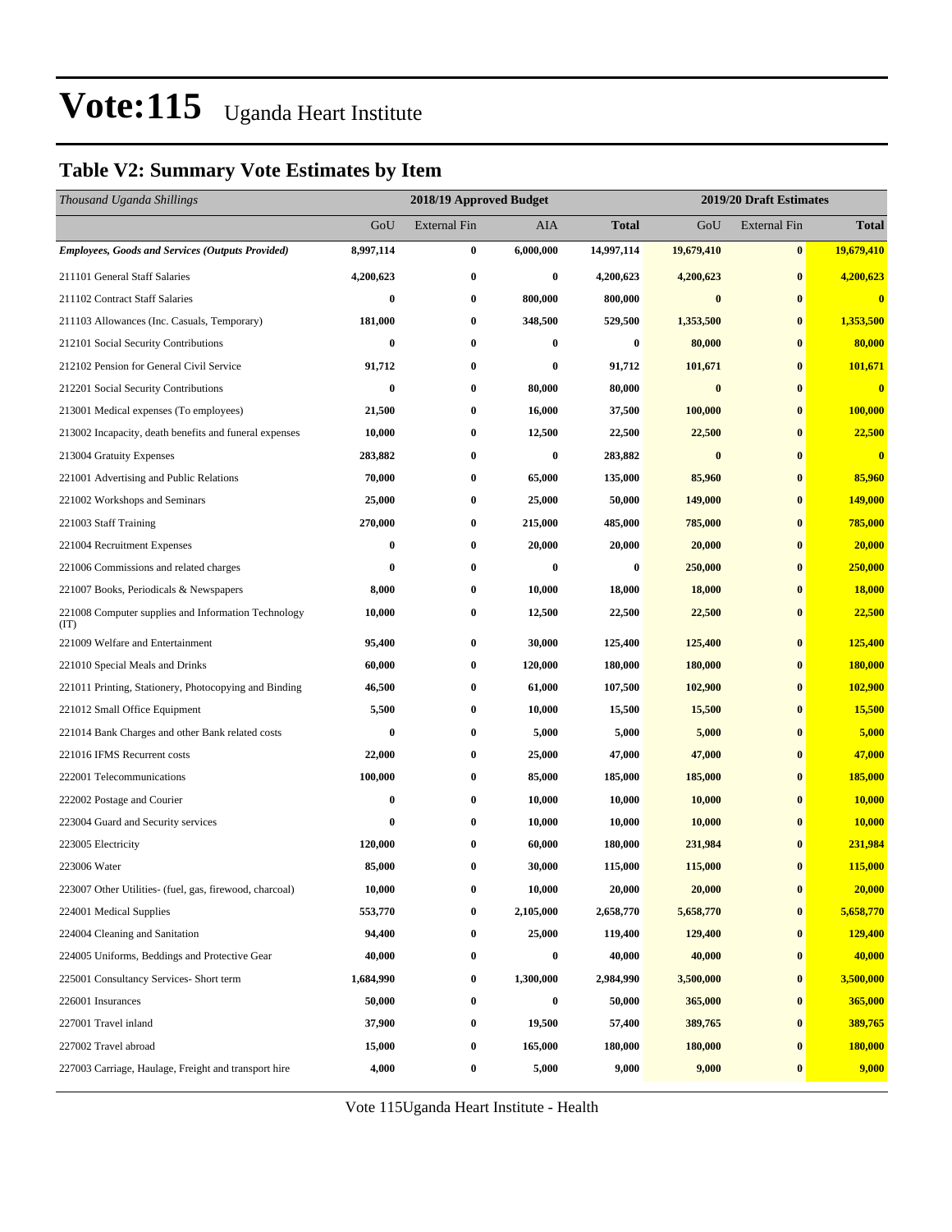### **Table V2: Summary Vote Estimates by Item**

| Thousand Uganda Shillings                                   |           | 2018/19 Approved Budget |            | 2019/20 Draft Estimates |            |                     |               |
|-------------------------------------------------------------|-----------|-------------------------|------------|-------------------------|------------|---------------------|---------------|
|                                                             | GoU       | <b>External Fin</b>     | <b>AIA</b> | <b>Total</b>            | GoU        | <b>External Fin</b> | <b>Total</b>  |
| <b>Employees, Goods and Services (Outputs Provided)</b>     | 8,997,114 | $\bf{0}$                | 6,000,000  | 14,997,114              | 19,679,410 | $\bf{0}$            | 19,679,410    |
| 211101 General Staff Salaries                               | 4,200,623 | $\bf{0}$                | $\bf{0}$   | 4,200,623               | 4,200,623  | $\bf{0}$            | 4,200,623     |
| 211102 Contract Staff Salaries                              | $\bf{0}$  | $\bf{0}$                | 800,000    | 800,000                 | $\bf{0}$   | $\bf{0}$            | $\bf{0}$      |
| 211103 Allowances (Inc. Casuals, Temporary)                 | 181,000   | 0                       | 348,500    | 529,500                 | 1,353,500  | $\bf{0}$            | 1,353,500     |
| 212101 Social Security Contributions                        | $\bf{0}$  | $\bf{0}$                | 0          | $\bf{0}$                | 80,000     | $\bf{0}$            | 80,000        |
| 212102 Pension for General Civil Service                    | 91,712    | $\bf{0}$                | 0          | 91,712                  | 101,671    | $\bf{0}$            | 101,671       |
| 212201 Social Security Contributions                        | $\bf{0}$  | $\bf{0}$                | 80,000     | 80,000                  | $\bf{0}$   | $\bf{0}$            | $\bf{0}$      |
| 213001 Medical expenses (To employees)                      | 21,500    | $\bf{0}$                | 16,000     | 37,500                  | 100,000    | $\bf{0}$            | 100,000       |
| 213002 Incapacity, death benefits and funeral expenses      | 10,000    | 0                       | 12,500     | 22,500                  | 22,500     | $\bf{0}$            | 22,500        |
| 213004 Gratuity Expenses                                    | 283,882   | $\bf{0}$                | $\bf{0}$   | 283,882                 | $\bf{0}$   | $\bf{0}$            | $\bf{0}$      |
| 221001 Advertising and Public Relations                     | 70,000    | $\bf{0}$                | 65,000     | 135,000                 | 85,960     | $\bf{0}$            | 85,960        |
| 221002 Workshops and Seminars                               | 25,000    | $\bf{0}$                | 25,000     | 50,000                  | 149,000    | $\bf{0}$            | 149,000       |
| 221003 Staff Training                                       | 270,000   | $\bf{0}$                | 215,000    | 485,000                 | 785,000    | $\bf{0}$            | 785,000       |
| 221004 Recruitment Expenses                                 | $\bf{0}$  | 0                       | 20,000     | 20,000                  | 20,000     | $\bf{0}$            | 20,000        |
| 221006 Commissions and related charges                      | $\bf{0}$  | $\bf{0}$                | $\bf{0}$   | $\bf{0}$                | 250,000    | $\bf{0}$            | 250,000       |
| 221007 Books, Periodicals & Newspapers                      | 8,000     | $\bf{0}$                | 10,000     | 18,000                  | 18,000     | $\bf{0}$            | 18,000        |
| 221008 Computer supplies and Information Technology<br>(TT) | 10,000    | $\bf{0}$                | 12,500     | 22,500                  | 22,500     | $\bf{0}$            | 22,500        |
| 221009 Welfare and Entertainment                            | 95,400    | $\bf{0}$                | 30,000     | 125,400                 | 125,400    | $\bf{0}$            | 125,400       |
| 221010 Special Meals and Drinks                             | 60,000    | $\bf{0}$                | 120,000    | 180,000                 | 180,000    | $\bf{0}$            | 180,000       |
| 221011 Printing, Stationery, Photocopying and Binding       | 46,500    | $\bf{0}$                | 61,000     | 107,500                 | 102,900    | $\bf{0}$            | 102,900       |
| 221012 Small Office Equipment                               | 5,500     | $\bf{0}$                | 10,000     | 15,500                  | 15,500     | $\bf{0}$            | 15,500        |
| 221014 Bank Charges and other Bank related costs            | $\bf{0}$  | $\bf{0}$                | 5,000      | 5,000                   | 5,000      | $\bf{0}$            | 5,000         |
| 221016 IFMS Recurrent costs                                 | 22,000    | $\bf{0}$                | 25,000     | 47,000                  | 47,000     | $\bf{0}$            | 47,000        |
| 222001 Telecommunications                                   | 100,000   | $\bf{0}$                | 85,000     | 185,000                 | 185,000    | $\bf{0}$            | 185,000       |
| 222002 Postage and Courier                                  | $\bf{0}$  | $\bf{0}$                | 10,000     | 10,000                  | 10,000     | $\bf{0}$            | <b>10,000</b> |
| 223004 Guard and Security services                          | $\bf{0}$  | $\bf{0}$                | 10,000     | 10,000                  | 10,000     | $\bf{0}$            | <b>10,000</b> |
| 223005 Electricity                                          | 120,000   | 0                       | 60,000     | 180,000                 | 231,984    | $\bf{0}$            | 231,984       |
| 223006 Water                                                | 85,000    | $\bf{0}$                | 30,000     | 115,000                 | 115,000    | $\bf{0}$            | 115,000       |
| 223007 Other Utilities- (fuel, gas, firewood, charcoal)     | 10,000    | $\bf{0}$                | 10,000     | 20,000                  | 20,000     | $\pmb{0}$           | 20,000        |
| 224001 Medical Supplies                                     | 553,770   | $\bf{0}$                | 2,105,000  | 2,658,770               | 5,658,770  | $\bf{0}$            | 5,658,770     |
| 224004 Cleaning and Sanitation                              | 94,400    | $\bf{0}$                | 25,000     | 119,400                 | 129,400    | $\bf{0}$            | 129,400       |
| 224005 Uniforms, Beddings and Protective Gear               | 40,000    | $\bf{0}$                | 0          | 40,000                  | 40,000     | $\bf{0}$            | 40,000        |
| 225001 Consultancy Services- Short term                     | 1,684,990 | $\bf{0}$                | 1,300,000  | 2,984,990               | 3,500,000  | $\boldsymbol{0}$    | 3,500,000     |
| 226001 Insurances                                           | 50,000    | $\bf{0}$                | 0          | 50,000                  | 365,000    | $\bf{0}$            | 365,000       |
| 227001 Travel inland                                        | 37,900    | $\bf{0}$                | 19,500     | 57,400                  | 389,765    | $\bf{0}$            | 389,765       |
| 227002 Travel abroad                                        | 15,000    | $\bf{0}$                | 165,000    | 180,000                 | 180,000    | $\bf{0}$            | 180,000       |
| 227003 Carriage, Haulage, Freight and transport hire        | 4,000     | $\bf{0}$                | 5,000      | 9,000                   | 9,000      | $\bf{0}$            | 9,000         |

Vote 115Uganda Heart Institute - Health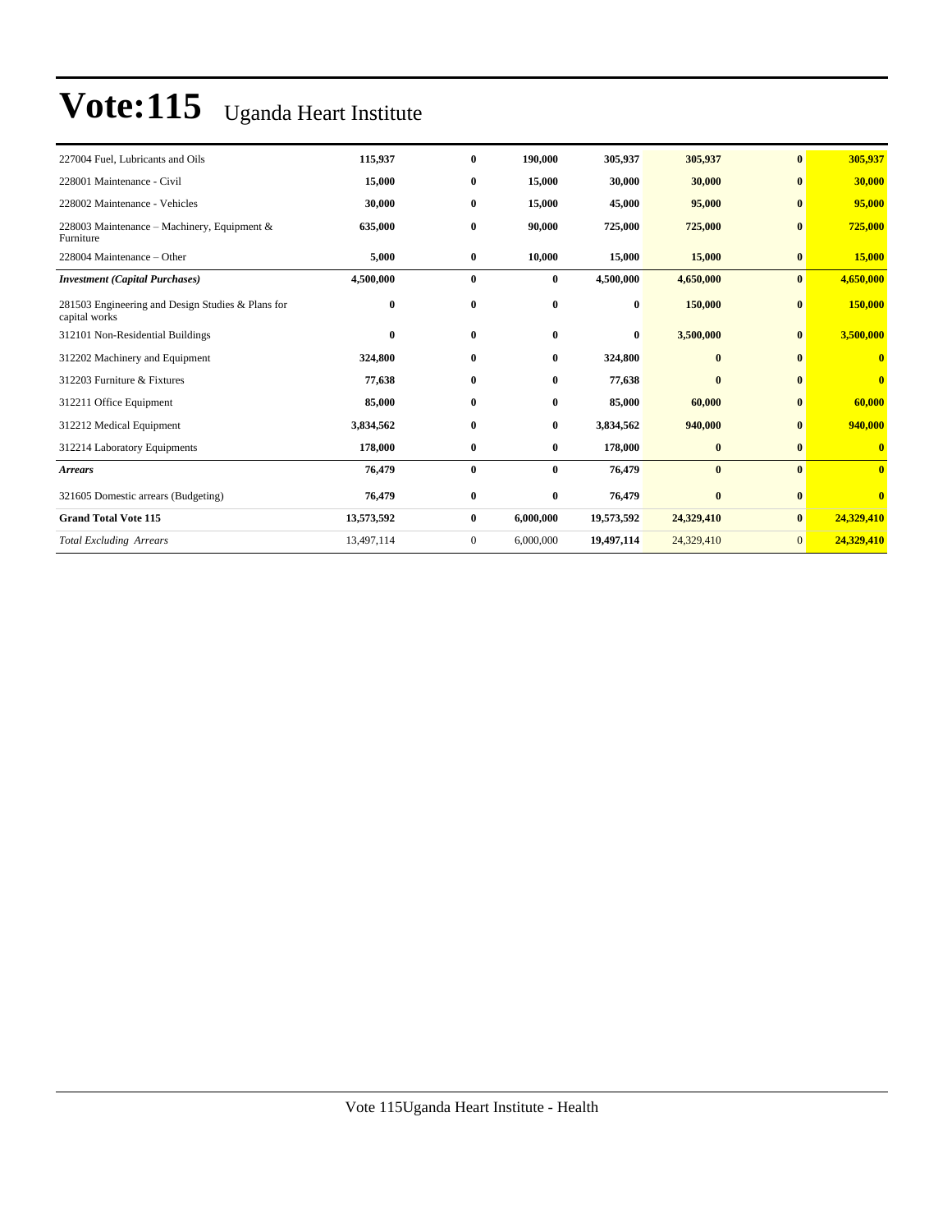| 227004 Fuel, Lubricants and Oils                                   | 115,937    | $\bf{0}$     | 190.000   | 305,937    | 305,937      | $\bf{0}$       | 305,937      |
|--------------------------------------------------------------------|------------|--------------|-----------|------------|--------------|----------------|--------------|
| 228001 Maintenance - Civil                                         | 15,000     | $\bf{0}$     | 15,000    | 30,000     | 30,000       | $\bf{0}$       | 30,000       |
| 228002 Maintenance - Vehicles                                      | 30,000     | $\bf{0}$     | 15,000    | 45,000     | 95,000       | $\bf{0}$       | 95,000       |
| 228003 Maintenance - Machinery, Equipment &<br>Furniture           | 635,000    | $\bf{0}$     | 90,000    | 725,000    | 725,000      | $\bf{0}$       | 725,000      |
| 228004 Maintenance – Other                                         | 5,000      | $\bf{0}$     | 10,000    | 15,000     | 15,000       | $\bf{0}$       | 15,000       |
| <b>Investment</b> (Capital Purchases)                              | 4,500,000  | $\bf{0}$     | $\bf{0}$  | 4,500,000  | 4,650,000    | $\bf{0}$       | 4,650,000    |
| 281503 Engineering and Design Studies & Plans for<br>capital works | $\bf{0}$   | $\bf{0}$     | $\bf{0}$  | $\bf{0}$   | 150,000      | $\bf{0}$       | 150,000      |
| 312101 Non-Residential Buildings                                   | 0          | $\bf{0}$     | $\bf{0}$  | $\bf{0}$   | 3,500,000    | $\bf{0}$       | 3,500,000    |
| 312202 Machinery and Equipment                                     | 324,800    | $\bf{0}$     | $\bf{0}$  | 324,800    | $\bf{0}$     | $\mathbf{0}$   | 0            |
| 312203 Furniture & Fixtures                                        | 77,638     | $\bf{0}$     | $\bf{0}$  | 77,638     | $\mathbf{0}$ | $\mathbf{0}$   | $\mathbf{0}$ |
| 312211 Office Equipment                                            | 85,000     | $\bf{0}$     | $\bf{0}$  | 85,000     | 60,000       | $\mathbf{0}$   | 60,000       |
| 312212 Medical Equipment                                           | 3,834,562  | $\bf{0}$     | $\bf{0}$  | 3,834,562  | 940,000      | $\mathbf{0}$   | 940,000      |
| 312214 Laboratory Equipments                                       | 178,000    | $\bf{0}$     | $\bf{0}$  | 178,000    | $\bf{0}$     | $\bf{0}$       | $\mathbf{0}$ |
| <b>Arrears</b>                                                     | 76,479     | $\bf{0}$     | $\bf{0}$  | 76,479     | $\bf{0}$     | $\mathbf{0}$   | $\mathbf{0}$ |
| 321605 Domestic arrears (Budgeting)                                | 76,479     | $\bf{0}$     | $\bf{0}$  | 76,479     | $\bf{0}$     | $\bf{0}$       | $\mathbf{0}$ |
| <b>Grand Total Vote 115</b>                                        | 13,573,592 | $\bf{0}$     | 6,000,000 | 19,573,592 | 24,329,410   | $\bf{0}$       | 24,329,410   |
| <b>Total Excluding Arrears</b>                                     | 13,497,114 | $\mathbf{0}$ | 6,000,000 | 19,497,114 | 24,329,410   | $\overline{0}$ | 24,329,410   |
|                                                                    |            |              |           |            |              |                |              |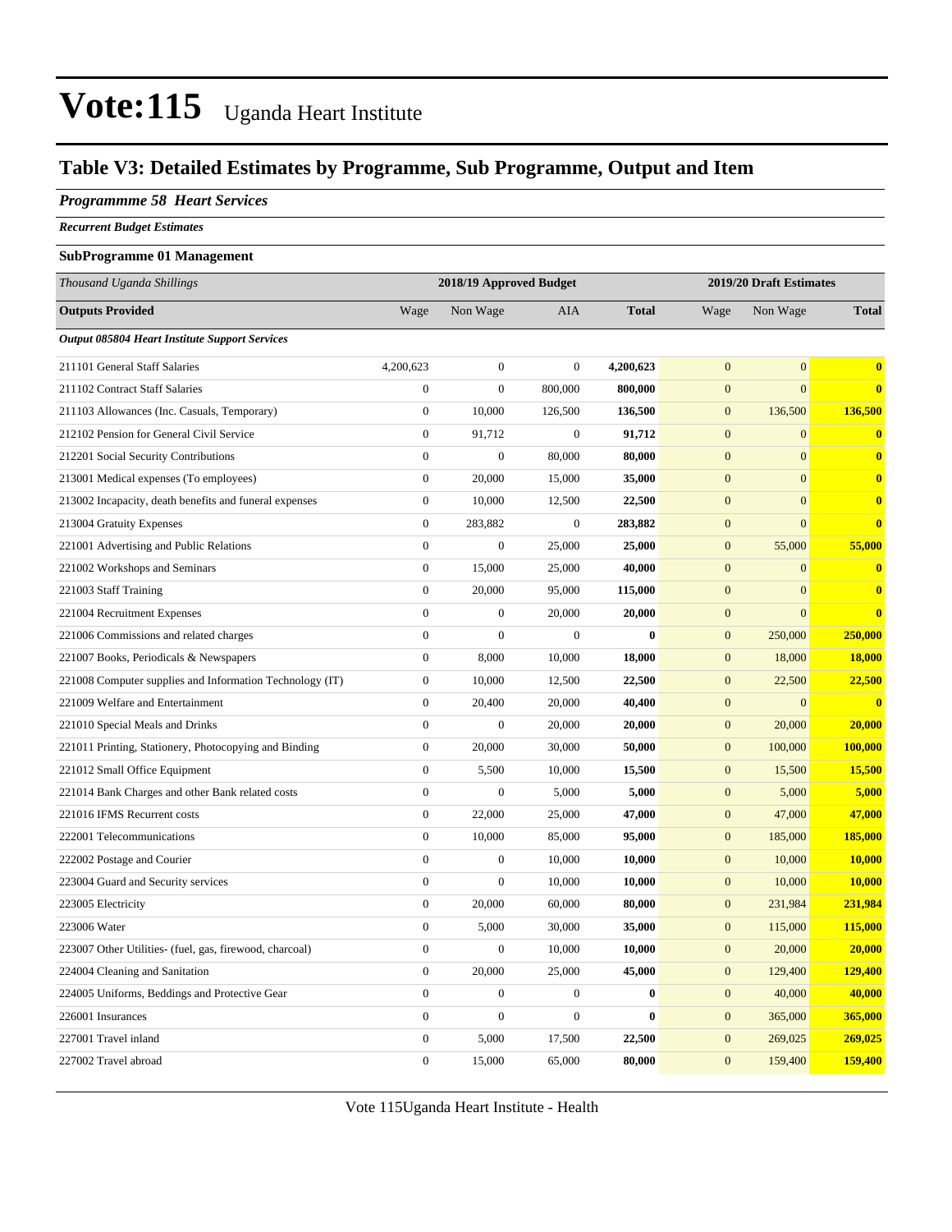### **Table V3: Detailed Estimates by Programme, Sub Programme, Output and Item**

#### *Programmme 58 Heart Services*

*Recurrent Budget Estimates*

#### **SubProgramme 01 Management**

| Thousand Uganda Shillings                                |                  | 2018/19 Approved Budget |                  |              | 2019/20 Draft Estimates |                  |              |
|----------------------------------------------------------|------------------|-------------------------|------------------|--------------|-------------------------|------------------|--------------|
| <b>Outputs Provided</b>                                  | Wage             | Non Wage                | AIA              | <b>Total</b> | Wage                    | Non Wage         | <b>Total</b> |
| <b>Output 085804 Heart Institute Support Services</b>    |                  |                         |                  |              |                         |                  |              |
| 211101 General Staff Salaries                            | 4,200,623        | $\boldsymbol{0}$        | $\boldsymbol{0}$ | 4,200,623    | $\mathbf{0}$            | $\boldsymbol{0}$ | $\mathbf{0}$ |
| 211102 Contract Staff Salaries                           | $\boldsymbol{0}$ | $\overline{0}$          | 800,000          | 800,000      | $\mathbf{0}$            | $\mathbf{0}$     | $\mathbf{0}$ |
| 211103 Allowances (Inc. Casuals, Temporary)              | $\boldsymbol{0}$ | 10,000                  | 126,500          | 136,500      | $\mathbf{0}$            | 136,500          | 136,500      |
| 212102 Pension for General Civil Service                 | $\boldsymbol{0}$ | 91,712                  | $\boldsymbol{0}$ | 91,712       | $\mathbf{0}$            | $\overline{0}$   | $\mathbf{0}$ |
| 212201 Social Security Contributions                     | $\boldsymbol{0}$ | $\overline{0}$          | 80,000           | 80,000       | $\overline{0}$          | $\overline{0}$   | $\mathbf{0}$ |
| 213001 Medical expenses (To employees)                   | $\boldsymbol{0}$ | 20,000                  | 15,000           | 35,000       | $\mathbf{0}$            | $\overline{0}$   | $\mathbf{0}$ |
| 213002 Incapacity, death benefits and funeral expenses   | $\boldsymbol{0}$ | 10,000                  | 12,500           | 22,500       | $\mathbf{0}$            | $\mathbf{0}$     | $\bf{0}$     |
| 213004 Gratuity Expenses                                 | $\boldsymbol{0}$ | 283,882                 | $\boldsymbol{0}$ | 283,882      | $\mathbf{0}$            | $\overline{0}$   | $\bf{0}$     |
| 221001 Advertising and Public Relations                  | $\overline{0}$   | $\boldsymbol{0}$        | 25,000           | 25,000       | $\boldsymbol{0}$        | 55,000           | 55,000       |
| 221002 Workshops and Seminars                            | $\boldsymbol{0}$ | 15,000                  | 25,000           | 40,000       | $\mathbf{0}$            | $\mathbf{0}$     | $\mathbf{0}$ |
| 221003 Staff Training                                    | $\boldsymbol{0}$ | 20,000                  | 95,000           | 115,000      | $\mathbf{0}$            | $\mathbf{0}$     | $\mathbf{0}$ |
| 221004 Recruitment Expenses                              | $\overline{0}$   | $\overline{0}$          | 20,000           | 20,000       | $\boldsymbol{0}$        | $\overline{0}$   | $\mathbf{0}$ |
| 221006 Commissions and related charges                   | $\boldsymbol{0}$ | $\boldsymbol{0}$        | $\boldsymbol{0}$ | $\bf{0}$     | $\boldsymbol{0}$        | 250,000          | 250,000      |
| 221007 Books, Periodicals & Newspapers                   | $\boldsymbol{0}$ | 8,000                   | 10,000           | 18,000       | $\boldsymbol{0}$        | 18,000           | 18,000       |
| 221008 Computer supplies and Information Technology (IT) | $\boldsymbol{0}$ | 10,000                  | 12,500           | 22,500       | $\boldsymbol{0}$        | 22,500           | 22,500       |
| 221009 Welfare and Entertainment                         | $\boldsymbol{0}$ | 20,400                  | 20,000           | 40,400       | $\boldsymbol{0}$        | $\mathbf{0}$     | $\mathbf{0}$ |
| 221010 Special Meals and Drinks                          | $\boldsymbol{0}$ | $\boldsymbol{0}$        | 20,000           | 20,000       | $\mathbf{0}$            | 20,000           | 20,000       |
| 221011 Printing, Stationery, Photocopying and Binding    | $\overline{0}$   | 20,000                  | 30,000           | 50,000       | $\overline{0}$          | 100,000          | 100,000      |
| 221012 Small Office Equipment                            | $\boldsymbol{0}$ | 5,500                   | 10,000           | 15,500       | $\boldsymbol{0}$        | 15,500           | 15,500       |
| 221014 Bank Charges and other Bank related costs         | $\boldsymbol{0}$ | $\boldsymbol{0}$        | 5,000            | 5,000        | $\boldsymbol{0}$        | 5,000            | 5,000        |
| 221016 IFMS Recurrent costs                              | $\mathbf{0}$     | 22,000                  | 25,000           | 47,000       | $\boldsymbol{0}$        | 47,000           | 47,000       |
| 222001 Telecommunications                                | $\boldsymbol{0}$ | 10,000                  | 85,000           | 95,000       | $\mathbf{0}$            | 185,000          | 185,000      |
| 222002 Postage and Courier                               | $\boldsymbol{0}$ | $\boldsymbol{0}$        | 10,000           | 10,000       | $\mathbf{0}$            | 10,000           | 10,000       |
| 223004 Guard and Security services                       | $\boldsymbol{0}$ | $\boldsymbol{0}$        | 10,000           | 10,000       | $\mathbf{0}$            | 10,000           | 10,000       |
| 223005 Electricity                                       | $\boldsymbol{0}$ | 20,000                  | 60,000           | 80,000       | $\boldsymbol{0}$        | 231,984          | 231,984      |
| 223006 Water                                             | $\boldsymbol{0}$ | 5,000                   | 30,000           | 35,000       | $\mathbf{0}$            | 115,000          | 115,000      |
| 223007 Other Utilities- (fuel, gas, firewood, charcoal)  | $\boldsymbol{0}$ | $\boldsymbol{0}$        | 10,000           | 10,000       | $\boldsymbol{0}$        | 20,000           | 20,000       |
| 224004 Cleaning and Sanitation                           | $\boldsymbol{0}$ | 20,000                  | 25,000           | 45,000       | $\boldsymbol{0}$        | 129,400          | 129,400      |
| 224005 Uniforms, Beddings and Protective Gear            | $\overline{0}$   | $\boldsymbol{0}$        | $\boldsymbol{0}$ | $\bf{0}$     | $\boldsymbol{0}$        | 40,000           | 40,000       |
| 226001 Insurances                                        | $\boldsymbol{0}$ | $\boldsymbol{0}$        | $\boldsymbol{0}$ | $\mathbf{0}$ | $\boldsymbol{0}$        | 365,000          | 365,000      |
| 227001 Travel inland                                     | $\boldsymbol{0}$ | 5,000                   | 17,500           | 22,500       | $\boldsymbol{0}$        | 269,025          | 269,025      |
| 227002 Travel abroad                                     | $\overline{0}$   | 15,000                  | 65,000           | 80,000       | $\mathbf{0}$            | 159,400          | 159,400      |

Vote 115Uganda Heart Institute - Health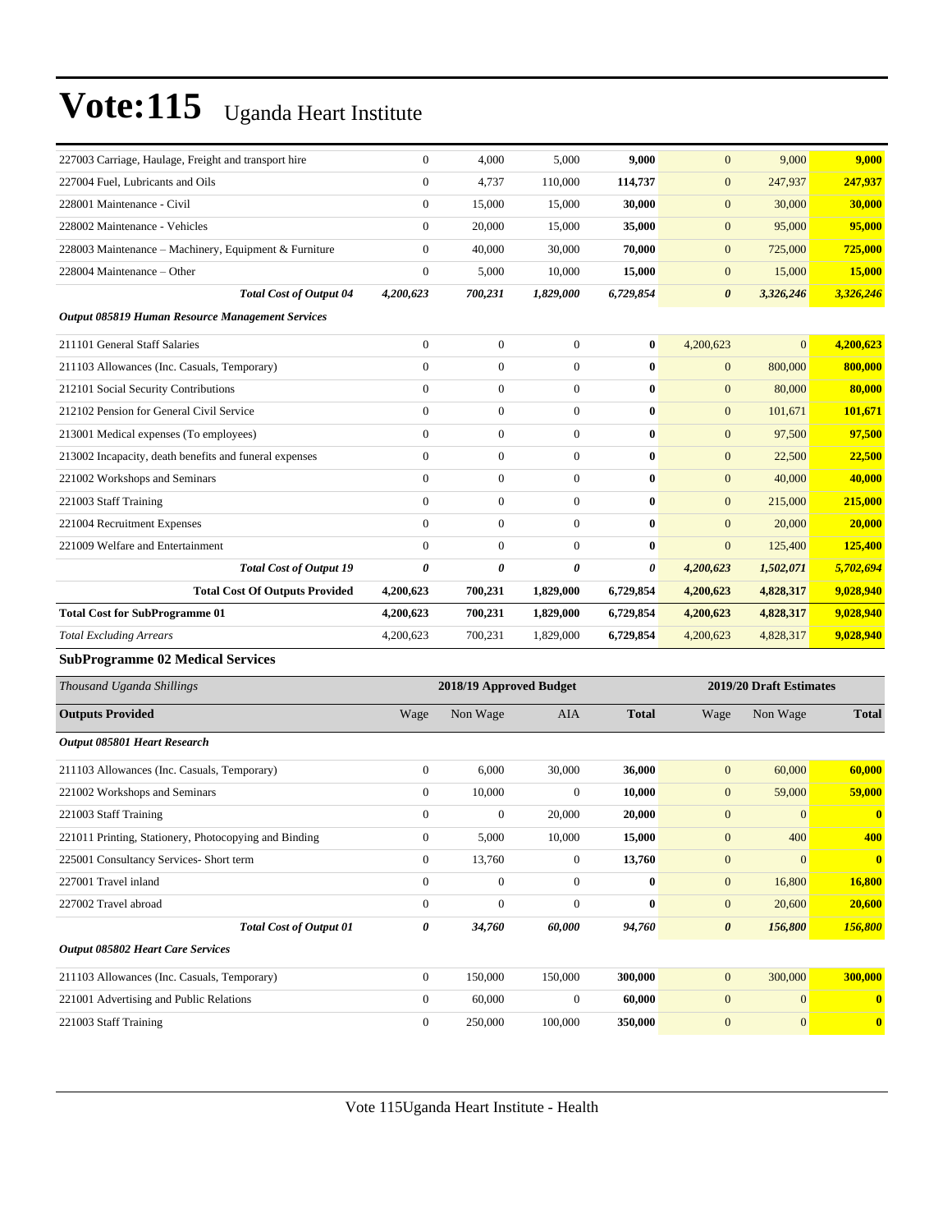| 227003 Carriage, Haulage, Freight and transport hire   | $\boldsymbol{0}$      | 4,000                   | 5,000            | 9,000        | $\mathbf{0}$          | 9,000                   | 9,000            |
|--------------------------------------------------------|-----------------------|-------------------------|------------------|--------------|-----------------------|-------------------------|------------------|
| 227004 Fuel, Lubricants and Oils                       | $\boldsymbol{0}$      | 4,737                   | 110,000          | 114,737      | $\mathbf{0}$          | 247,937                 | 247,937          |
| 228001 Maintenance - Civil                             | $\boldsymbol{0}$      | 15,000                  | 15,000           | 30,000       | $\boldsymbol{0}$      | 30,000                  | 30,000           |
| 228002 Maintenance - Vehicles                          | $\overline{0}$        | 20,000                  | 15,000           | 35,000       | $\mathbf{0}$          | 95,000                  | 95,000           |
| 228003 Maintenance – Machinery, Equipment & Furniture  | $\boldsymbol{0}$      | 40,000                  | 30,000           | 70,000       | $\mathbf{0}$          | 725,000                 | 725,000          |
| 228004 Maintenance – Other                             | $\boldsymbol{0}$      | 5,000                   | 10,000           | 15,000       | $\boldsymbol{0}$      | 15,000                  | 15,000           |
| <b>Total Cost of Output 04</b>                         | 4,200,623             | 700,231                 | 1,829,000        | 6,729,854    | $\boldsymbol{\theta}$ | 3,326,246               | 3,326,246        |
| Output 085819 Human Resource Management Services       |                       |                         |                  |              |                       |                         |                  |
| 211101 General Staff Salaries                          | $\boldsymbol{0}$      | $\boldsymbol{0}$        | $\boldsymbol{0}$ | $\bf{0}$     | 4,200,623             | $\overline{0}$          | 4,200,623        |
| 211103 Allowances (Inc. Casuals, Temporary)            | $\boldsymbol{0}$      | $\boldsymbol{0}$        | $\mathbf{0}$     | $\bf{0}$     | $\boldsymbol{0}$      | 800,000                 | 800,000          |
| 212101 Social Security Contributions                   | $\boldsymbol{0}$      | $\boldsymbol{0}$        | $\mathbf{0}$     | $\bf{0}$     | $\boldsymbol{0}$      | 80,000                  | 80,000           |
| 212102 Pension for General Civil Service               | $\overline{0}$        | $\boldsymbol{0}$        | $\boldsymbol{0}$ | $\bf{0}$     | $\mathbf{0}$          | 101,671                 | 101,671          |
| 213001 Medical expenses (To employees)                 | $\boldsymbol{0}$      | $\boldsymbol{0}$        | $\boldsymbol{0}$ | $\bf{0}$     | $\mathbf{0}$          | 97,500                  | 97,500           |
| 213002 Incapacity, death benefits and funeral expenses | $\boldsymbol{0}$      | $\boldsymbol{0}$        | $\mathbf{0}$     | $\bf{0}$     | $\mathbf{0}$          | 22,500                  | 22,500           |
| 221002 Workshops and Seminars                          | $\boldsymbol{0}$      | $\boldsymbol{0}$        | $\mathbf{0}$     | $\bf{0}$     | $\mathbf{0}$          | 40,000                  | 40,000           |
| 221003 Staff Training                                  | $\overline{0}$        | $\boldsymbol{0}$        | $\mathbf{0}$     | $\bf{0}$     | $\mathbf{0}$          | 215,000                 | 215,000          |
| 221004 Recruitment Expenses                            | $\overline{0}$        | $\boldsymbol{0}$        | $\mathbf{0}$     | $\bf{0}$     | $\mathbf{0}$          | 20,000                  | 20,000           |
| 221009 Welfare and Entertainment                       | $\overline{0}$        | $\boldsymbol{0}$        | $\boldsymbol{0}$ | $\bf{0}$     | $\mathbf{0}$          | 125,400                 | 125,400          |
| <b>Total Cost of Output 19</b>                         | $\boldsymbol{\theta}$ | 0                       | 0                | 0            | 4,200,623             | 1,502,071               | 5,702,694        |
| <b>Total Cost Of Outputs Provided</b>                  | 4,200,623             | 700,231                 | 1,829,000        | 6,729,854    | 4,200,623             | 4,828,317               | 9,028,940        |
| <b>Total Cost for SubProgramme 01</b>                  | 4,200,623             | 700,231                 | 1,829,000        | 6,729,854    | 4,200,623             | 4,828,317               | 9,028,940        |
| <b>Total Excluding Arrears</b>                         | 4,200,623             | 700,231                 | 1,829,000        | 6,729,854    | 4,200,623             | 4,828,317               | 9,028,940        |
| <b>SubProgramme 02 Medical Services</b>                |                       |                         |                  |              |                       |                         |                  |
| Thousand Uganda Shillings                              |                       | 2018/19 Approved Budget |                  |              |                       | 2019/20 Draft Estimates |                  |
| <b>Outputs Provided</b>                                | Wage                  | Non Wage                | AIA              | <b>Total</b> | Wage                  | Non Wage                | <b>Total</b>     |
| Output 085801 Heart Research                           |                       |                         |                  |              |                       |                         |                  |
| 211103 Allowances (Inc. Casuals, Temporary)            | $\mathbf{0}$          | 6,000                   | 30,000           | 36,000       | $\mathbf{0}$          | 60,000                  | 60,000           |
| 221002 Workshops and Seminars                          | $\boldsymbol{0}$      | 10,000                  | $\boldsymbol{0}$ | 10,000       | $\mathbf{0}$          | 59,000                  | 59,000           |
| 221003 Staff Training                                  | $\boldsymbol{0}$      | 0                       | 20,000           | 20,000       | $\mathbf{0}$          | $\boldsymbol{0}$        | $\bf{0}$         |
| 221011 Printing, Stationery, Photocopying and Binding  | 0                     | 5,000                   | 10,000           | 15,000       | $\boldsymbol{0}$      | 400                     | 400              |
| 225001 Consultancy Services- Short term                | $\overline{0}$        | 13,760                  | $\boldsymbol{0}$ | 13,760       | $\mathbf{0}$          | $\mathbf{0}$            | $\boldsymbol{0}$ |
| 227001 Travel inland                                   | $\overline{0}$        | $\boldsymbol{0}$        | $\boldsymbol{0}$ | $\bf{0}$     | $\mathbf{0}$          | 16,800                  | 16,800           |
| 227002 Travel abroad                                   | $\boldsymbol{0}$      | $\boldsymbol{0}$        | $\boldsymbol{0}$ | $\bf{0}$     | $\mathbf{0}$          | 20,600                  | 20,600           |
| <b>Total Cost of Output 01</b>                         | 0                     | 34,760                  | 60,000           | 94,760       | $\boldsymbol{\theta}$ | 156,800                 | 156,800          |
| <b>Output 085802 Heart Care Services</b>               |                       |                         |                  |              |                       |                         |                  |
| 211103 Allowances (Inc. Casuals, Temporary)            | $\overline{0}$        | 150,000                 | 150,000          | 300,000      | $\mathbf{0}$          | 300,000                 | 300,000          |
| 221001 Advertising and Public Relations                | $\boldsymbol{0}$      | 60,000                  | $\boldsymbol{0}$ | 60,000       | $\mathbf{0}$          | $\boldsymbol{0}$        | $\bf{0}$         |
| 221003 Staff Training                                  | $\boldsymbol{0}$      | 250,000                 | 100,000          | 350,000      | $\boldsymbol{0}$      | $\boldsymbol{0}$        | $\bullet$        |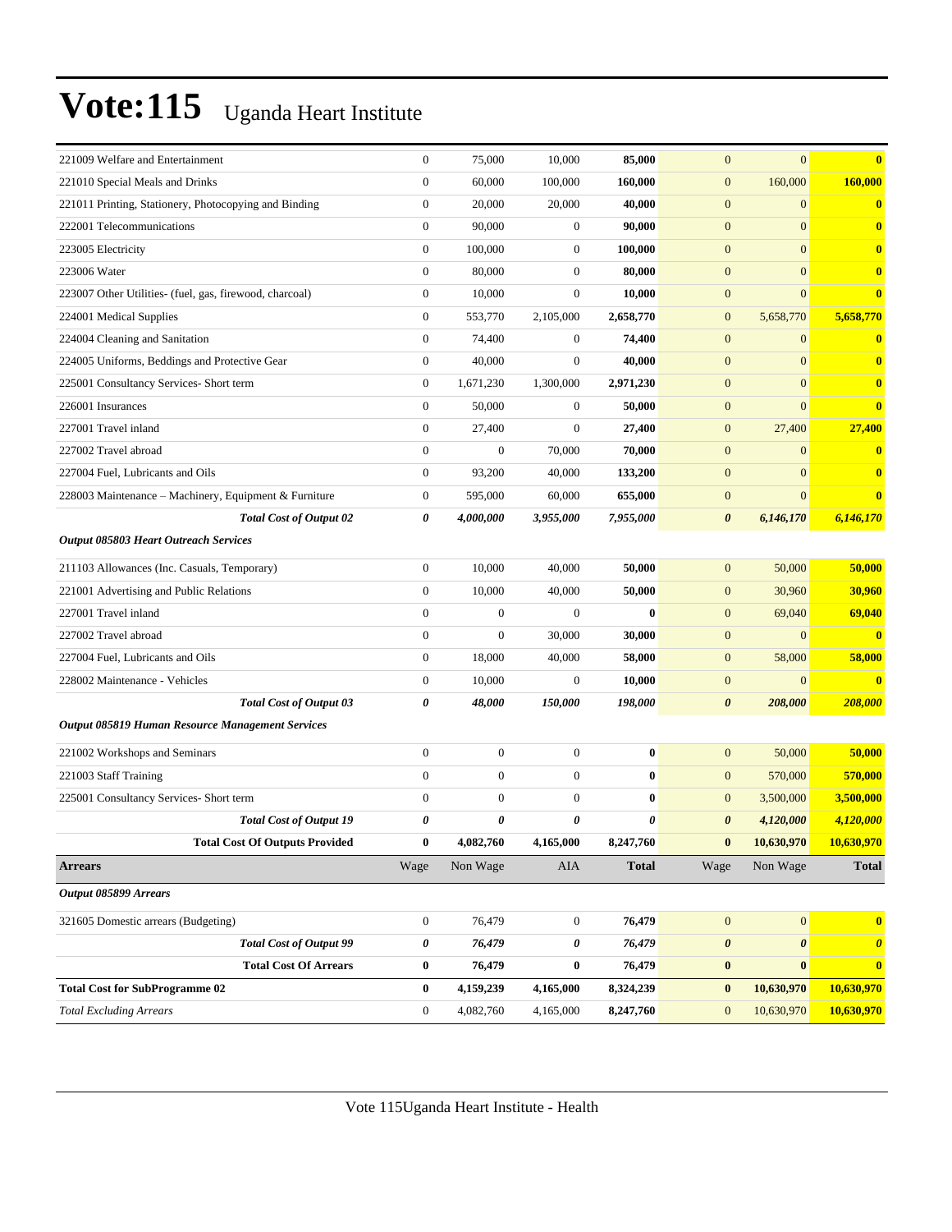| 221009 Welfare and Entertainment                        | $\boldsymbol{0}$ | 75,000           | 10,000           | 85,000       | $\mathbf{0}$          | $\boldsymbol{0}$      | $\bf{0}$              |
|---------------------------------------------------------|------------------|------------------|------------------|--------------|-----------------------|-----------------------|-----------------------|
| 221010 Special Meals and Drinks                         | $\boldsymbol{0}$ | 60,000           | 100,000          | 160,000      | $\mathbf{0}$          | 160,000               | 160,000               |
| 221011 Printing, Stationery, Photocopying and Binding   | $\boldsymbol{0}$ | 20,000           | 20,000           | 40,000       | $\mathbf{0}$          | $\mathbf{0}$          | $\bf{0}$              |
| 222001 Telecommunications                               | $\overline{0}$   | 90,000           | $\boldsymbol{0}$ | 90,000       | $\mathbf{0}$          | $\overline{0}$        | $\bf{0}$              |
| 223005 Electricity                                      | $\mathbf{0}$     | 100,000          | $\boldsymbol{0}$ | 100,000      | $\mathbf{0}$          | $\overline{0}$        | $\bf{0}$              |
| 223006 Water                                            | $\boldsymbol{0}$ | 80,000           | $\boldsymbol{0}$ | 80,000       | $\mathbf{0}$          | $\overline{0}$        | $\bf{0}$              |
| 223007 Other Utilities- (fuel, gas, firewood, charcoal) | $\boldsymbol{0}$ | 10,000           | $\boldsymbol{0}$ | 10,000       | $\boldsymbol{0}$      | $\overline{0}$        | $\bf{0}$              |
| 224001 Medical Supplies                                 | $\boldsymbol{0}$ | 553,770          | 2,105,000        | 2,658,770    | $\mathbf{0}$          | 5,658,770             | 5,658,770             |
| 224004 Cleaning and Sanitation                          | $\overline{0}$   | 74,400           | $\boldsymbol{0}$ | 74,400       | $\mathbf{0}$          | $\boldsymbol{0}$      | $\bf{0}$              |
| 224005 Uniforms, Beddings and Protective Gear           | $\overline{0}$   | 40,000           | $\mathbf{0}$     | 40,000       | $\mathbf{0}$          | $\overline{0}$        | $\mathbf{0}$          |
| 225001 Consultancy Services- Short term                 | $\boldsymbol{0}$ | 1,671,230        | 1,300,000        | 2,971,230    | $\mathbf{0}$          | $\overline{0}$        | $\bf{0}$              |
| 226001 Insurances                                       | $\boldsymbol{0}$ | 50,000           | $\boldsymbol{0}$ | 50,000       | $\boldsymbol{0}$      | $\overline{0}$        | $\bf{0}$              |
| 227001 Travel inland                                    | $\boldsymbol{0}$ | 27,400           | $\boldsymbol{0}$ | 27,400       | $\mathbf{0}$          | 27,400                | 27,400                |
| 227002 Travel abroad                                    | $\overline{0}$   | $\boldsymbol{0}$ | 70,000           | 70,000       | $\mathbf{0}$          | $\overline{0}$        | $\bf{0}$              |
| 227004 Fuel, Lubricants and Oils                        | $\overline{0}$   | 93,200           | 40,000           | 133,200      | $\mathbf{0}$          | $\overline{0}$        | $\bf{0}$              |
| 228003 Maintenance - Machinery, Equipment & Furniture   | $\boldsymbol{0}$ | 595,000          | 60,000           | 655,000      | $\mathbf{0}$          | $\boldsymbol{0}$      | $\bf{0}$              |
| <b>Total Cost of Output 02</b>                          | 0                | 4,000,000        | 3,955,000        | 7,955,000    | $\boldsymbol{\theta}$ | 6,146,170             | 6,146,170             |
| <b>Output 085803 Heart Outreach Services</b>            |                  |                  |                  |              |                       |                       |                       |
| 211103 Allowances (Inc. Casuals, Temporary)             | $\boldsymbol{0}$ | 10,000           | 40,000           | 50,000       | $\mathbf{0}$          | 50,000                | 50,000                |
| 221001 Advertising and Public Relations                 | $\overline{0}$   | 10,000           | 40,000           | 50,000       | $\mathbf{0}$          | 30,960                | 30,960                |
| 227001 Travel inland                                    | $\overline{0}$   | $\boldsymbol{0}$ | $\boldsymbol{0}$ | $\bf{0}$     | $\mathbf{0}$          | 69,040                | 69,040                |
| 227002 Travel abroad                                    | $\boldsymbol{0}$ | $\boldsymbol{0}$ | 30,000           | 30,000       | $\mathbf{0}$          | $\overline{0}$        | $\bf{0}$              |
| 227004 Fuel, Lubricants and Oils                        | $\boldsymbol{0}$ | 18,000           | 40,000           | 58,000       | $\boldsymbol{0}$      | 58,000                | 58,000                |
| 228002 Maintenance - Vehicles                           | $\mathbf{0}$     | 10,000           | $\boldsymbol{0}$ | 10,000       | $\mathbf{0}$          | $\mathbf{0}$          | $\bf{0}$              |
| <b>Total Cost of Output 03</b>                          | 0                | 48,000           | 150,000          | 198,000      | $\boldsymbol{\theta}$ | 208,000               | 208,000               |
| <b>Output 085819 Human Resource Management Services</b> |                  |                  |                  |              |                       |                       |                       |
| 221002 Workshops and Seminars                           | $\boldsymbol{0}$ | $\boldsymbol{0}$ | $\boldsymbol{0}$ | $\bf{0}$     | $\mathbf{0}$          | 50,000                | 50,000                |
| 221003 Staff Training                                   | $\overline{0}$   | $\boldsymbol{0}$ | $\boldsymbol{0}$ | $\bf{0}$     | $\mathbf{0}$          | 570,000               | 570,000               |
| 225001 Consultancy Services- Short term                 | $\overline{0}$   | $\boldsymbol{0}$ | $\mathbf{0}$     | $\bf{0}$     | $\mathbf{0}$          | 3,500,000             | 3,500,000             |
| <b>Total Cost of Output 19</b>                          | 0                | 0                | 0                | 0            | $\boldsymbol{\theta}$ | 4,120,000             | 4,120,000             |
| <b>Total Cost Of Outputs Provided</b>                   | $\bf{0}$         | 4,082,760        | 4,165,000        | 8,247,760    | $\mathbf{0}$          | 10,630,970            | 10,630,970            |
| <b>Arrears</b>                                          | Wage             | Non Wage         | AIA              | <b>Total</b> | Wage                  | Non Wage              | <b>Total</b>          |
| Output 085899 Arrears                                   |                  |                  |                  |              |                       |                       |                       |
|                                                         |                  |                  |                  |              |                       |                       |                       |
| 321605 Domestic arrears (Budgeting)                     | $\boldsymbol{0}$ | 76,479           | $\boldsymbol{0}$ | 76,479       | $\mathbf{0}$          | $\vert 0 \vert$       | $\mathbf{0}$          |
| <b>Total Cost of Output 99</b>                          | 0                | 76,479           | 0                | 76,479       | $\boldsymbol{\theta}$ | $\boldsymbol{\theta}$ | $\boldsymbol{\theta}$ |
| <b>Total Cost Of Arrears</b>                            | $\bf{0}$         | 76,479           | $\bf{0}$         | 76,479       | $\bf{0}$              | $\bf{0}$              | $\bf{0}$              |
| <b>Total Cost for SubProgramme 02</b>                   | $\bf{0}$         | 4,159,239        | 4,165,000        | 8,324,239    | $\bf{0}$              | 10,630,970            | 10,630,970            |
| <b>Total Excluding Arrears</b>                          | $\boldsymbol{0}$ | 4,082,760        | 4,165,000        | 8,247,760    | $\mathbf{0}$          | 10,630,970            | 10,630,970            |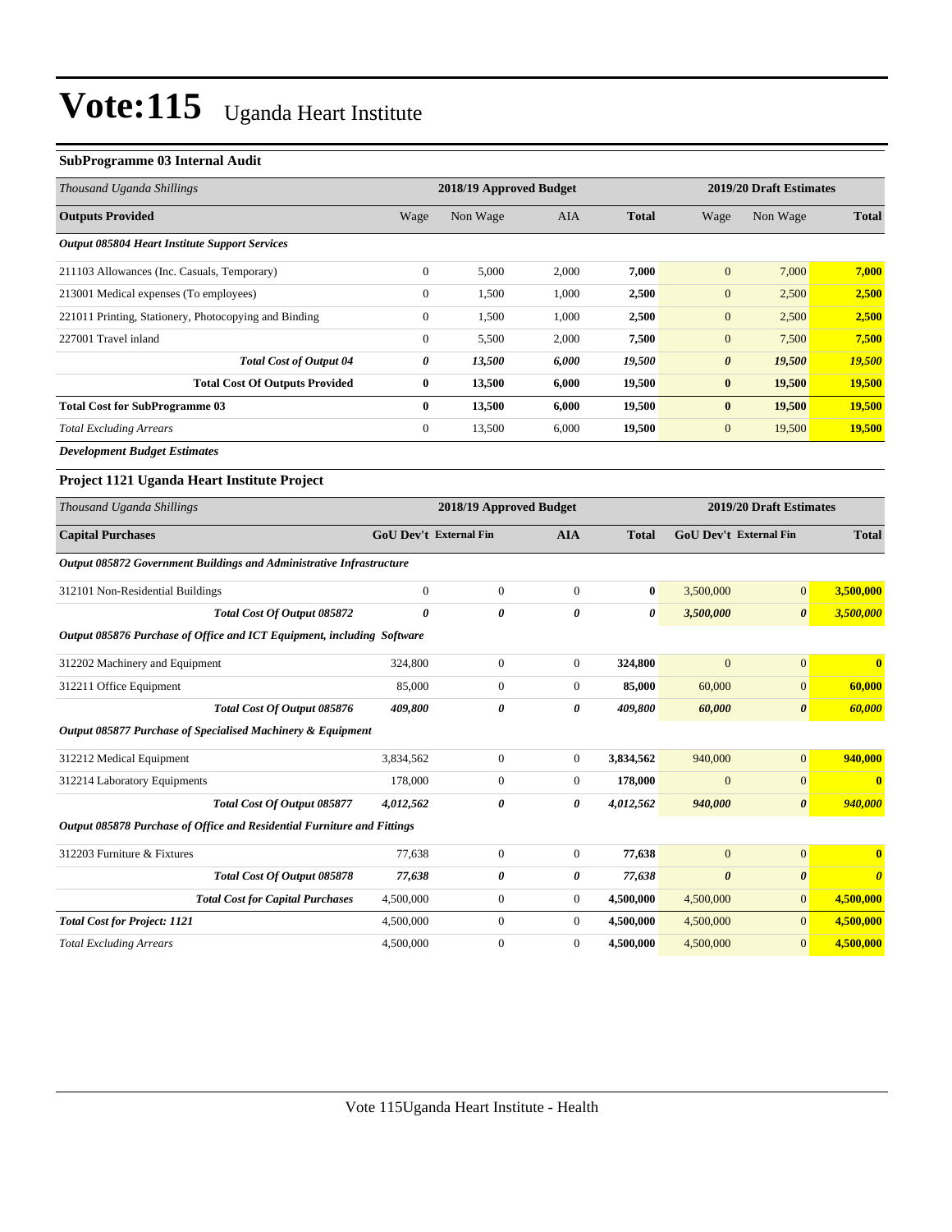#### **SubProgramme 03 Internal Audit**

| Thousand Uganda Shillings                                               |                        | 2018/19 Approved Budget |                       | 2019/20 Draft Estimates |                               |                         |                       |
|-------------------------------------------------------------------------|------------------------|-------------------------|-----------------------|-------------------------|-------------------------------|-------------------------|-----------------------|
| <b>Outputs Provided</b>                                                 | Wage                   | Non Wage                | AIA                   | <b>Total</b>            | Wage                          | Non Wage                | <b>Total</b>          |
| <b>Output 085804 Heart Institute Support Services</b>                   |                        |                         |                       |                         |                               |                         |                       |
| 211103 Allowances (Inc. Casuals, Temporary)                             | $\boldsymbol{0}$       | 5,000                   | 2,000                 | 7,000                   | $\mathbf{0}$                  | 7,000                   | 7,000                 |
| 213001 Medical expenses (To employees)                                  | $\boldsymbol{0}$       | 1,500                   | 1,000                 | 2,500                   | $\boldsymbol{0}$              | 2,500                   | 2,500                 |
| 221011 Printing, Stationery, Photocopying and Binding                   | $\boldsymbol{0}$       | 1,500                   | 1,000                 | 2,500                   | $\overline{0}$                | 2,500                   | 2,500                 |
| 227001 Travel inland                                                    | $\boldsymbol{0}$       | 5,500                   | 2,000                 | 7,500                   | $\mathbf{0}$                  | 7,500                   | 7,500                 |
| <b>Total Cost of Output 04</b>                                          | $\boldsymbol{\theta}$  | 13,500                  | 6,000                 | 19,500                  | $\pmb{\theta}$                | 19,500                  | 19,500                |
| <b>Total Cost Of Outputs Provided</b>                                   | $\bf{0}$               | 13,500                  | 6,000                 | 19,500                  | $\bf{0}$                      | 19,500                  | 19,500                |
| <b>Total Cost for SubProgramme 03</b>                                   | $\bf{0}$               | 13,500                  | 6,000                 | 19,500                  | $\bf{0}$                      | 19,500                  | 19,500                |
| <b>Total Excluding Arrears</b>                                          | $\boldsymbol{0}$       | 13,500                  | 6,000                 | 19,500                  | $\overline{0}$                | 19,500                  | 19,500                |
| <b>Development Budget Estimates</b>                                     |                        |                         |                       |                         |                               |                         |                       |
| Project 1121 Uganda Heart Institute Project                             |                        |                         |                       |                         |                               |                         |                       |
| Thousand Uganda Shillings                                               |                        | 2018/19 Approved Budget |                       |                         |                               | 2019/20 Draft Estimates |                       |
| <b>Capital Purchases</b>                                                | GoU Dev't External Fin |                         | <b>AIA</b>            | <b>Total</b>            | <b>GoU Dev't External Fin</b> |                         | <b>Total</b>          |
| Output 085872 Government Buildings and Administrative Infrastructure    |                        |                         |                       |                         |                               |                         |                       |
| 312101 Non-Residential Buildings                                        | $\boldsymbol{0}$       | $\boldsymbol{0}$        | $\mathbf{0}$          | $\bf{0}$                | 3,500,000                     | $\overline{0}$          | 3,500,000             |
| Total Cost Of Output 085872                                             | $\theta$               | $\boldsymbol{\theta}$   | $\boldsymbol{\theta}$ | $\theta$                | 3,500,000                     | $\boldsymbol{\theta}$   | 3,500,000             |
| Output 085876 Purchase of Office and ICT Equipment, including Software  |                        |                         |                       |                         |                               |                         |                       |
| 312202 Machinery and Equipment                                          | 324,800                | $\mathbf{0}$            | $\mathbf{0}$          | 324,800                 | $\overline{0}$                | $\mathbf{0}$            | $\bf{0}$              |
| 312211 Office Equipment                                                 | 85,000                 | $\boldsymbol{0}$        | $\boldsymbol{0}$      | 85,000                  | 60,000                        | $\boldsymbol{0}$        | 60,000                |
| Total Cost Of Output 085876                                             | 409,800                | 0                       | 0                     | 409,800                 | 60,000                        | $\boldsymbol{\theta}$   | 60,000                |
| Output 085877 Purchase of Specialised Machinery & Equipment             |                        |                         |                       |                         |                               |                         |                       |
| 312212 Medical Equipment                                                | 3,834,562              | $\boldsymbol{0}$        | $\mathbf{0}$          | 3,834,562               | 940,000                       | $\boldsymbol{0}$        | 940,000               |
| 312214 Laboratory Equipments                                            | 178,000                | $\boldsymbol{0}$        | $\mathbf{0}$          | 178,000                 | $\overline{0}$                | $\mathbf{0}$            | $\bf{0}$              |
| Total Cost Of Output 085877                                             | 4,012,562              | 0                       | 0                     | 4,012,562               | 940,000                       | $\boldsymbol{\theta}$   | 940,000               |
| Output 085878 Purchase of Office and Residential Furniture and Fittings |                        |                         |                       |                         |                               |                         |                       |
| 312203 Furniture & Fixtures                                             | 77,638                 | $\boldsymbol{0}$        | $\boldsymbol{0}$      | 77,638                  | $\boldsymbol{0}$              | $\boldsymbol{0}$        | $\mathbf{0}$          |
| Total Cost Of Output 085878                                             | 77,638                 | 0                       | 0                     | 77,638                  | $\boldsymbol{\theta}$         | $\boldsymbol{\theta}$   | $\boldsymbol{\theta}$ |
| <b>Total Cost for Capital Purchases</b>                                 | 4,500,000              | $\boldsymbol{0}$        | $\boldsymbol{0}$      | 4,500,000               | 4,500,000                     | $\boldsymbol{0}$        | 4,500,000             |
| <b>Total Cost for Project: 1121</b>                                     | 4,500,000              | $\boldsymbol{0}$        | $\boldsymbol{0}$      | 4,500,000               | 4,500,000                     | $\boldsymbol{0}$        | 4,500,000             |
| <b>Total Excluding Arrears</b>                                          | 4,500,000              | $\mathbf{0}$            | $\overline{0}$        | 4,500,000               | 4,500,000                     | $\mathbf{0}$            | 4,500,000             |